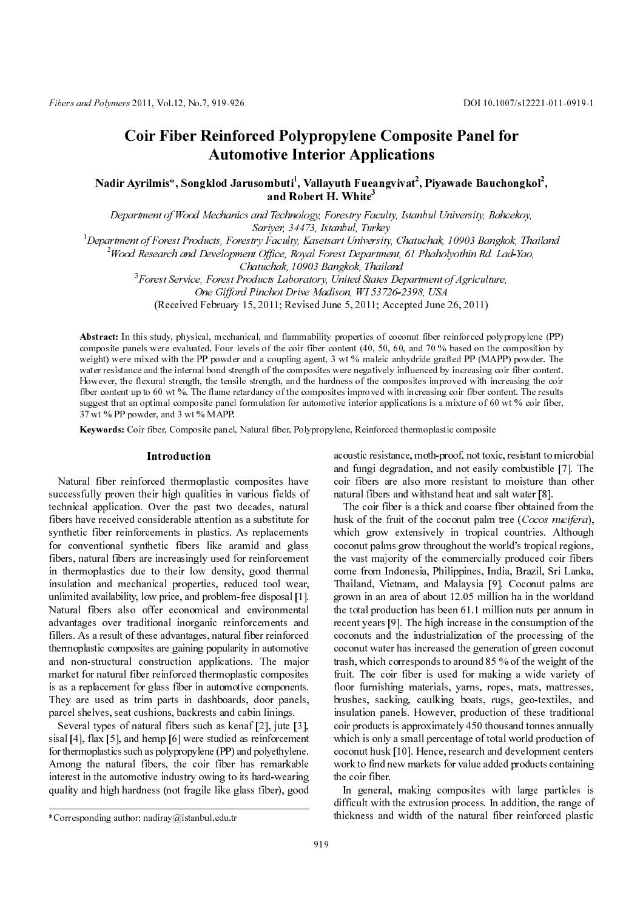# Coir Fiber Reinforced Polypropylene Composite Panel for Automotive Interior Applications

Nadir Ayrilmis\*, Songklod Jarusombuti<sup>1</sup>, Vallayuth Fueangvivat<sup>2</sup>, Piyawade Bauchongkol<sup>2</sup>,<br>and Robert H. White<sup>3</sup> and Robert H. White $3$ 

Department of Wood Mechanics and Technology, Forestry Faculty, Istanbul University, Bahcekoy, Sariyer, 34473, Istanbul, Turkey

1 Department of Forest Products, Forestry Faculty, Kasetsart University, Chatuchak, 10903 Bangkok, Thailand

2 Wood Research and Development Office, Royal Forest Department, 61 Phaholyothin Rd. Lad-Yao,

Chatuchak, 10903 Bangkok, Thailand

3 Forest Service, Forest Products Laboratory, United States Department of Agriculture, One Gifford Pinchot Drive Madison, WI 53726-2398, USA

(Received February 15, 2011; Revised June 5, 2011; Accepted June 26, 2011)

Abstract: In this study, physical, mechanical, and flammability properties of coconut fiber reinforced polypropylene (PP) composite panels were evaluated. Four levels of the coir fiber content (40, 50, 60, and 70 % based on the composition by weight) were mixed with the PP powder and a coupling agent, 3 wt % maleic anhydride grafted PP (MAPP) powder. The water resistance and the internal bond strength of the composites were negatively influenced by increasing coir fiber content. However, the flexural strength, the tensile strength, and the hardness of the composites improved with increasing the coir fiber content up to 60 wt %. The flame retardancy of the composites improved with increasing coir fiber content. The results suggest that an optimal composite panel formulation for automotive interior applications is a mixture of 60 wt % coir fiber, 37 wt % PP powder, and 3 wt % MAPP.

Keywords: Coir fiber, Composite panel, Natural fiber, Polypropylene, Reinforced thermoplastic composite

# Introduction

Fibers and Polymers 2011, Vol.12, No.7, 919-926<br>
Coir Fiber Reinfo<br>
Autor<br>
Nadir Ayrilmis\*, Songklod Jan<br>
Department of Wood Mechanic<br>
<sup>1</sup>Department of Forest Products, Fore<br>
<sup>3</sup>Forest Service, Forest Products<br>
<sup>3</sup>Forest S Natural fiber reinforced thermoplastic composites have successfully proven their high qualities in various fields of technical application. Over the past two decades, natural fibers have received considerable attention as a substitute for synthetic fiber reinforcements in plastics. As replacements for conventional synthetic fibers like aramid and glass fibers, natural fibers are increasingly used for reinforcement in thermoplastics due to their low density, good thermal insulation and mechanical properties, reduced tool wear, unlimited availability, low price, and problem-free disposal [1]. Natural fibers also offer economical and environmental advantages over traditional inorganic reinforcements and fillers. As a result of these advantages, natural fiber reinforced thermoplastic composites are gaining popularity in automotive and non-structural construction applications. The major market for natural fiber reinforced thermoplastic composites is as a replacement for glass fiber in automotive components. They are used as trim parts in dashboards, door panels, parcel shelves, seat cushions, backrests and cabin linings.

Several types of natural fibers such as kenaf [2], jute [3], sisal [4], flax [5], and hemp [6] were studied as reinforcement for thermoplastics such as polypropylene (PP) and polyethylene. Among the natural fibers, the coir fiber has remarkable interest in the automotive industry owing to its hard-wearing quality and high hardness (not fragile like glass fiber), good acoustic resistance, moth-proof, not toxic, resistant to microbial and fungi degradation, and not easily combustible [7]. The coir fibers are also more resistant to moisture than other natural fibers and withstand heat and salt water [8].

The coir fiber is a thick and coarse fiber obtained from the husk of the fruit of the coconut palm tree (Cocos nucifera), which grow extensively in tropical countries. Although coconut palms grow throughout the world's tropical regions, the vast majority of the commercially produced coir fibers come from Indonesia, Philippines, India, Brazil, Sri Lanka, Thailand, Vietnam, and Malaysia [9]. Coconut palms are grown in an area of about 12.05 million ha in the worldand the total production has been 61.1 million nuts per annum in recent years [9]. The high increase in the consumption of the coconuts and the industrialization of the processing of the coconut water has increased the generation of green coconut trash, which corresponds to around 85 % of the weight of the fruit. The coir fiber is used for making a wide variety of floor furnishing materials, yarns, ropes, mats, mattresses, brushes, sacking, caulking boats, rugs, geo-textiles, and insulation panels. However, production of these traditional coir products is approximately 450 thousand tonnes annually which is only a small percentage of total world production of coconut husk [10]. Hence, research and development centers work to find new markets for value added products containing the coir fiber.

In general, making composites with large particles is difficult with the extrusion process. In addition, the range of \*Corresponding author: nadiray@istanbul.edu.tr thickness and width of the natural fiber reinforced plastic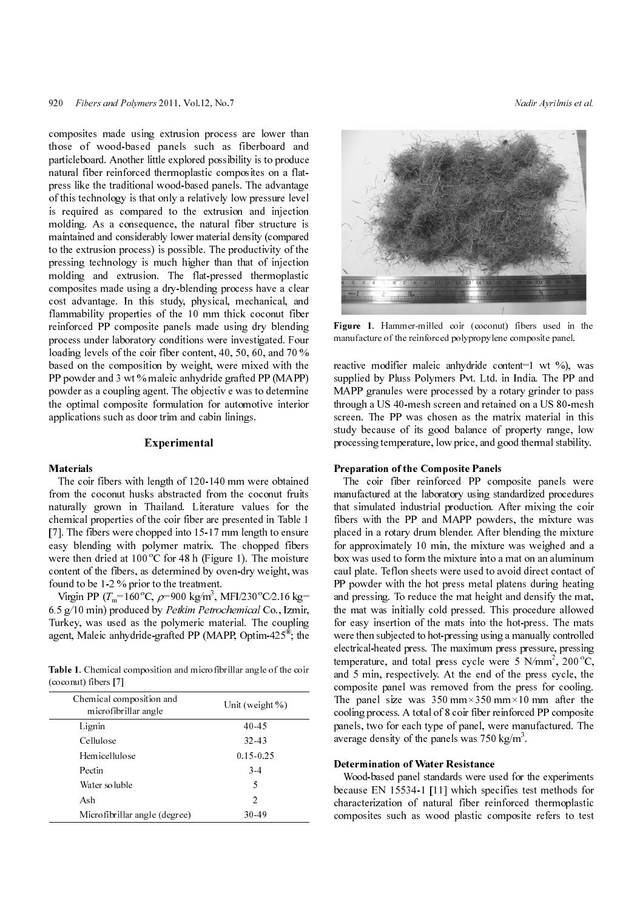820 Fibers and Polymers 2011, Vol.12, No.7<br>
State random control and Solution of the symbol speedily is the product of the symbol speedilement And Park Control and Solution of the symbol speedilement of the symbol speedil composites made using extrusion process are lower than those of wood-based panels such as fiberboard and particleboard. Another little explored possibility is to produce natural fiber reinforced thermoplastic composites on a flatpress like the traditional wood-based panels. The advantage of this technology is that only a relatively low pressure level is required as compared to the extrusion and injection molding. As a consequence, the natural fiber structure is maintained and considerably lower material density (compared to the extrusion process) is possible. The productivity of the pressing technology is much higher than that of injection molding and extrusion. The flat-pressed thermoplastic composites made using a dry-blending process have a clear cost advantage. In this study, physical, mechanical, and flammability properties of the 10 mm thick coconut fiber reinforced PP composite panels made using dry blending process under laboratory conditions were investigated. Four loading levels of the coir fiber content, 40, 50, 60, and 70 % based on the composition by weight, were mixed with the PP powder and 3 wt % maleic anhydride grafted PP (MAPP) powder as a coupling agent. The objectiv e was to determine the optimal composite formulation for automotive interior applications such as door trim and cabin linings.

# Experimental

#### Materials

The coir fibers with length of 120-140 mm were obtained from the coconut husks abstracted from the coconut fruits naturally grown in Thailand. Literature values for the chemical properties of the coir fiber are presented in Table 1 [7]. The fibers were chopped into 15-17 mm length to ensure easy blending with polymer matrix. The chopped fibers were then dried at  $100\text{ °C}$  for 48 h (Figure 1). The moisture content of the fibers, as determined by oven-dry weight, was found to be 1-2 % prior to the treatment.

Virgin PP  $(T_m=160^{\circ}\text{C}, \rho=900 \text{ kg/m}^3, \text{MF1}/230^{\circ}\text{C}/2.16 \text{ kg}=$ <br>5.  $\approx$  (10 min) ready sed by *Petrim Petroplanuisal* Go. Jamin 6.5 g/10 min) produced by Petkim Petrochemical Co., Izmir, Turkey, was used as the polymeric material. The coupling agent, Maleic anhydride-grafted PP (MAPP, Optim-425®; the

Table 1. Chemical composition and microfibrillar angle of the coir (coconut) fibers [7]

| Chemical composition and<br>microfibrillar angle | Unit (weight $\%$ ) |
|--------------------------------------------------|---------------------|
| Lignin                                           | 40.45               |
| Cellulose                                        | 32.43               |
| Hemicellulose                                    | 0.15 0.25           |
| Pectin                                           | $3-4$               |
| Water soluble                                    | 5                   |
| Ash                                              | $\mathfrak{D}$      |
| Microfibrillar angle (degree)                    | 30.49               |



Figure 1. Hammer-milled coir (coconut) fibers used in the manufacture of the reinforced polypropylene composite panel.

reactive modifier maleic anhydride content=1 wt %), was supplied by Pluss Polymers Pvt. Ltd. in India. The PP and MAPP granules were processed by a rotary grinder to pass through a US 40-mesh screen and retained on a US 80-mesh screen. The PP was chosen as the matrix material in this study because of its good balance of property range, low processing temperature, low price, and good thermal stability.

#### Preparation of the Composite Panels

The coir fiber reinforced PP composite panels were manufactured at the laboratory using standardized procedures that simulated industrial production. After mixing the coir fibers with the PP and MAPP powders, the mixture was placed in a rotary drum blender. After blending the mixture for approximately 10 min, the mixture was weighed and a box was used to form the mixture into a mat on an aluminum caul plate. Teflon sheets were used to avoid direct contact of PP powder with the hot press metal platens during heating and pressing. To reduce the mat height and densify the mat, the mat was initially cold pressed. This procedure allowed for easy insertion of the mats into the hot-press. The mats were then subjected to hot-pressing using a manually controlled electrical-heated press. The maximum press pressure, pressing temperature, and total press cycle were 5  $N/mm^2$ , 200 °C, and 5 min, respectively. At the end of the press cycle, the composite panel was removed from the press for cooling. The panel size was  $350 \text{ mm} \times 350 \text{ mm} \times 10 \text{ mm}$  after the cooling process. A total of 8 coir fiber reinforced PP composite panels, two for each type of panel, were manufactured. The average density of the panels was  $750 \text{ kg/m}^3$ .

#### Determination of Water Resistance

Wood-based panel standards were used for the experiments because EN 15534-1 [11] which specifies test methods for characterization of natural fiber reinforced thermoplastic composites such as wood plastic composite refers to test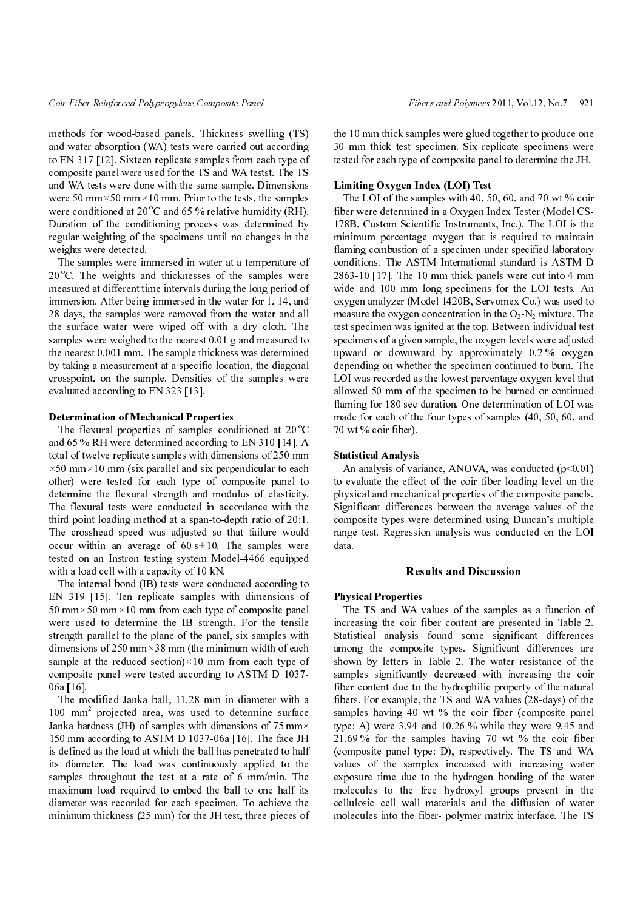methods for wood-based panels. Thickness swelling (TS) and water absorption (WA) tests were carried out according to EN 317 [12]. Sixteen replicate samples from each type of composite panel were used for the TS and WA testst. The TS and WA tests were done with the same sample. Dimensions were 50 mm $\times$ 50 mm $\times$ 10 mm. Prior to the tests, the samples were conditioned at  $20^{\circ}$ C and 65 % relative humidity (RH). Duration of the conditioning process was determined by regular weighting of the specimens until no changes in the weights were detected.

The samples were immersed in water at a temperature of  $20^{\circ}$ C. The weights and thicknesses of the samples were measured at different time intervals during the long period of immersion. After being immersed in the water for 1, 14, and 28 days, the samples were removed from the water and all the surface water were wiped off with a dry cloth. The samples were weighed to the nearest 0.01 g and measured to the nearest 0.001 mm. The sample thickness was determined by taking a measurement at a specific location, the diagonal crosspoint, on the sample. Densities of the samples were evaluated according to EN 323 [13].

#### Determination of Mechanical Properties

The flexural properties of samples conditioned at 20  $\rm ^{o}C$ and 65 % RH were determined according to EN 310 [14]. A total of twelve replicate samples with dimensions of 250 mm  $\times$ 50 mm $\times$ 10 mm (six parallel and six perpendicular to each other) were tested for each type of composite panel to determine the flexural strength and modulus of elasticity. The flexural tests were conducted in accordance with the third point loading method at a span-to-depth ratio of 20:1. The crosshead speed was adjusted so that failure would occur within an average of  $60 s \pm 10$ . The samples were tested on an Instron testing system Model-4466 equipped with a load cell with a capacity of 10 kN.

The internal bond (IB) tests were conducted according to EN 319 [15]. Ten replicate samples with dimensions of 50 mm $\times$ 50 mm $\times$ 10 mm from each type of composite panel were used to determine the IB strength. For the tensile strength parallel to the plane of the panel, six samples with dimensions of 250 mm $\times$ 38 mm (the minimum width of each sample at the reduced section) $\times$ 10 mm from each type of composite panel were tested according to ASTM D 1037- 06a [16].

The modified Janka ball, 11.28 mm in diameter with a 100 mm2 projected area, was used to determine surface Janka hardness (JH) of samples with dimensions of 75 mm $\times$ 150 mm according to ASTM D 1037-06a [16]. The face JH is defined as the load at which the ball has penetrated to half its diameter. The load was continuously applied to the samples throughout the test at a rate of 6 mm/min. The maximum load required to embed the ball to one half its diameter was recorded for each specimen. To achieve the minimum thickness (25 mm) for the JH test, three pieces of the 10 mm thick samples were glued together to produce one 30 mm thick test specimen. Six replicate specimens were tested for each type of composite panel to determine the JH.

### Limiting Oxygen Index (LOI) Test

Fiber Reinforced Polypropylons Composite Polypropyle (angle and  $\sim$  Fiber and Polypropylene Coll, Vol.12, No.7 921<br>
and Natar description (WA) tasts were carried out according (TS) the 10 mm thick test specimals for repl The LOI of the samples with 40, 50, 60, and 70 wt % coir fiber were determined in a Oxygen Index Tester (Model CS-178B, Custom Scientific Instruments, Inc.). The LOI is the minimum percentage oxygen that is required to maintain flaming combustion of a specimen under specified laboratory conditions. The ASTM International standard is ASTM D 2863-10 [17]. The 10 mm thick panels were cut into 4 mm wide and 100 mm long specimens for the LOI tests. An oxygen analyzer (Model 1420B, Servomex Co.) was used to measure the oxygen concentration in the  $O_2$ -N<sub>2</sub> mixture. The test specimen was ignited at the top. Between individual test specimens of a given sample, the oxygen levels were adjusted upward or downward by approximately 0.2 % oxygen depending on whether the specimen continued to burn. The LOI was recorded as the lowest percentage oxygen level that allowed 50 mm of the specimen to be burned or continued flaming for 180 sec duration. One determination of LOI was made for each of the four types of samples (40, 50, 60, and 70 wt % coir fiber).

#### Statistical Analysis

An analysis of variance, ANOVA, was conducted  $(p<0.01)$ to evaluate the effect of the coir fiber loading level on the physical and mechanical properties of the composite panels. Significant differences between the average values of the composite types were determined using Duncan's multiple range test. Regression analysis was conducted on the LOI data.

#### Results and Discussion

#### Physical Properties

The TS and WA values of the samples as a function of increasing the coir fiber content are presented in Table 2. Statistical analysis found some significant differences among the composite types. Significant differences are shown by letters in Table 2. The water resistance of the samples significantly decreased with increasing the coir fiber content due to the hydrophilic property of the natural fibers. For example, the TS and WA values (28-days) of the samples having 40 wt % the coir fiber (composite panel type: A) were 3.94 and 10.26 % while they were 9.45 and 21.69 % for the samples having 70 wt % the coir fiber (composite panel type: D), respectively. The TS and WA values of the samples increased with increasing water exposure time due to the hydrogen bonding of the water molecules to the free hydroxyl groups present in the cellulosic cell wall materials and the diffusion of water molecules into the fiber- polymer matrix interface. The TS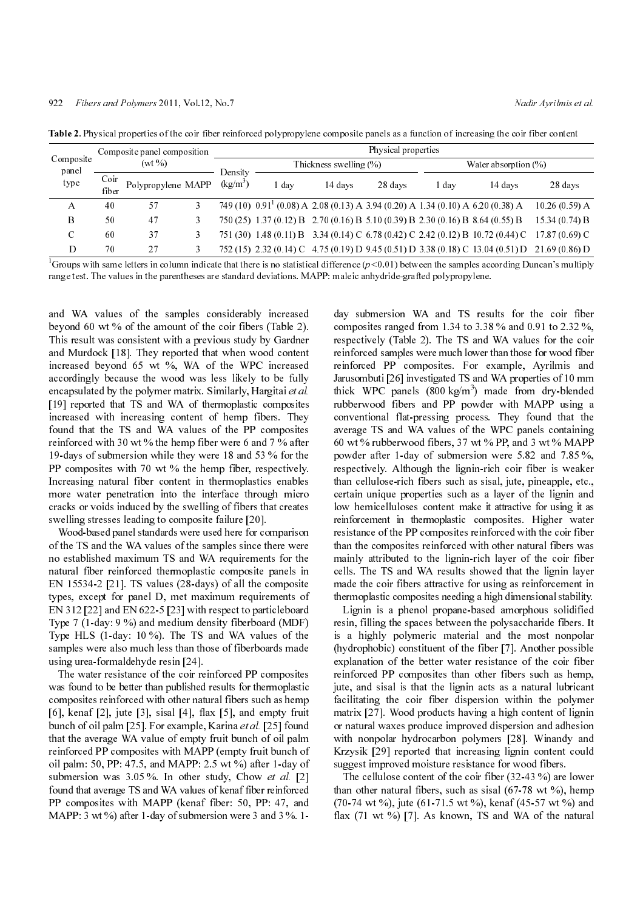| Composite<br>panel<br>type | Composite panel composition<br>$(wt \, \%)$ |                    | Physical properties |                            |                                                                                      |         |                          |       |                                                                                                |                 |
|----------------------------|---------------------------------------------|--------------------|---------------------|----------------------------|--------------------------------------------------------------------------------------|---------|--------------------------|-------|------------------------------------------------------------------------------------------------|-----------------|
|                            |                                             |                    |                     | Thickness swelling $(\% )$ |                                                                                      |         | Water absorption $(\% )$ |       |                                                                                                |                 |
|                            | Coir<br>fiber                               | Polypropylene MAPP |                     | Density<br>$(kg/m^3)$      | . day                                                                                | 14 davs | 28 days                  | ! day | 14 davs                                                                                        | 28 days         |
| А                          | 40                                          | 57                 |                     |                            | 749 (10) $0.91^{1}$ (0.08) A 2.08 (0.13) A 3.94 (0.20) A 1.34 (0.10) A 6.20 (0.38) A |         |                          |       |                                                                                                | 10.26(0.59) A   |
| B                          | 50                                          | 47                 |                     |                            | 750 (25) 1.37 (0.12) B 2.70 (0.16) B 5.10 (0.39) B 2.30 (0.16) B 8.64 (0.55) B       |         |                          |       |                                                                                                | 15.34(0.74) B   |
| C                          | 60                                          | 37                 | 3                   | 751 (30)                   |                                                                                      |         |                          |       | 1.48 (0.11) B 3.34 (0.14) C 6.78 (0.42) C 2.42 (0.12) B 10.72 (0.44) C                         | $17.87(0.69)$ C |
| D                          | 70                                          | 27                 |                     |                            |                                                                                      |         |                          |       | 752 (15) 2.32 (0.14) C 4.75 (0.19) D 9.45 (0.51) D 3.38 (0.18) C 13.04 (0.51) D 21.69 (0.86) D |                 |

Table 2. Physical properties of the coir fiber reinforced polypropylene composite panels as a function of increasing the coir fiber content

<sup>1</sup>Groups with same letters in column indicate that there is no statistical difference ( $p<0.01$ ) between the samples according Duncan's multiply range test. The values in the parentheses are standard deviations. MAPP: maleic anhydride-grafted polypropylene.

and WA values of the samples considerably increased beyond 60 wt % of the amount of the coir fibers (Table 2). This result was consistent with a previous study by Gardner and Murdock [18]. They reported that when wood content increased beyond 65 wt %, WA of the WPC increased accordingly because the wood was less likely to be fully encapsulated by the polymer matrix. Similarly, Hargitai et al. [19] reported that TS and WA of thermoplastic composites increased with increasing content of hemp fibers. They found that the TS and WA values of the PP composites reinforced with 30 wt % the hemp fiber were 6 and 7 % after 19-days of submersion while they were 18 and 53 % for the PP composites with 70 wt % the hemp fiber, respectively. Increasing natural fiber content in thermoplastics enables more water penetration into the interface through micro cracks or voids induced by the swelling of fibers that creates swelling stresses leading to composite failure [20].

Wood-based panel standards were used here for comparison of the TS and the WA values of the samples since there were no established maximum TS and WA requirements for the natural fiber reinforced thermoplastic composite panels in EN 15534-2 [21]. TS values (28-days) of all the composite types, except for panel D, met maximum requirements of EN 312 [22] and EN 622-5 [23] with respect to particleboard Type 7 (1-day: 9 %) and medium density fiberboard (MDF) Type HLS (1-day: 10 %). The TS and WA values of the samples were also much less than those of fiberboards made using urea-formaldehyde resin [24].

The water resistance of the coir reinforced PP composites was found to be better than published results for thermoplastic composites reinforced with other natural fibers such as hemp [6], kenaf  $[2]$ , jute  $[3]$ , sisal  $[4]$ , flax  $[5]$ , and empty fruit bunch of oil palm [25]. For example, Karina et al. [25] found that the average WA value of empty fruit bunch of oil palm reinforced PP composites with MAPP (empty fruit bunch of oil palm: 50, PP: 47.5, and MAPP: 2.5 wt %) after 1-day of submersion was 3.05 %. In other study, Chow et al. [2] found that average TS and WA values of kenaf fiber reinforced PP composites with MAPP (kenaf fiber: 50, PP: 47, and MAPP: 3 wt %) after 1-day of submersion were 3 and 3 %. 1-

922 Fibers and Polymers 2011, Vol.12, No.7<br>
1922 Fibers and Polymers 2011, Vol.12, No.7<br>
1934 Pierse Britis and The actual Content of the complete Content of the Content of the Content of the Content<br>
1946 Pierse and Cont day submersion WA and TS results for the coir fiber composites ranged from 1.34 to 3.38 % and 0.91 to 2.32 %, respectively (Table 2). The TS and WA values for the coir reinforced samples were much lower than those for wood fiber reinforced PP composites. For example, Ayrilmis and Jarusombuti [26] investigated TS and WA properties of 10 mm thick WPC panels  $(800 \text{ kg/m}^3)$  made from dry-blended rubberwood fibers and PP powder with MAPP using a conventional flat-pressing process. They found that the average TS and WA values of the WPC panels containing 60 wt % rubberwood fibers, 37 wt % PP, and 3 wt % MAPP powder after 1-day of submersion were 5.82 and 7.85 %, respectively. Although the lignin-rich coir fiber is weaker than cellulose-rich fibers such as sisal, jute, pineapple, etc., certain unique properties such as a layer of the lignin and low hemicelluloses content make it attractive for using it as reinforcement in thermoplastic composites. Higher water resistance of the PP composites reinforced with the coir fiber than the composites reinforced with other natural fibers was mainly attributed to the lignin-rich layer of the coir fiber cells. The TS and WA results showed that the lignin layer made the coir fibers attractive for using as reinforcement in thermoplastic composites needing a high dimensional stability. Groups with the methods on the infinite that there is no statistical difference of 6.01) between the weaker and the sample wavelengths and the sample is no statistical difference (a) and the sample is no statistical diffe

Lignin is a phenol propane-based amorphous solidified resin, filling the spaces between the polysaccharide fibers. It is a highly polymeric material and the most nonpolar (hydrophobic) constituent of the fiber [7]. Another possible explanation of the better water resistance of the coir fiber reinforced PP composites than other fibers such as hemp, jute, and sisal is that the lignin acts as a natural lubricant facilitating the coir fiber dispersion within the polymer matrix [27]. Wood products having a high content of lignin or natural waxes produce improved dispersion and adhesion with nonpolar hydrocarbon polymers [28]. Winandy and Krzysik [29] reported that increasing lignin content could suggest improved moisture resistance for wood fibers.

The cellulose content of the coir fiber (32-43 %) are lower than other natural fibers, such as sisal  $(67-78 \text{ wt } %)$ , hemp (70-74 wt %), jute (61-71.5 wt %), kenaf (45-57 wt %) and flax  $(71 \text{ wt } %%)$  [7]. As known, TS and WA of the natural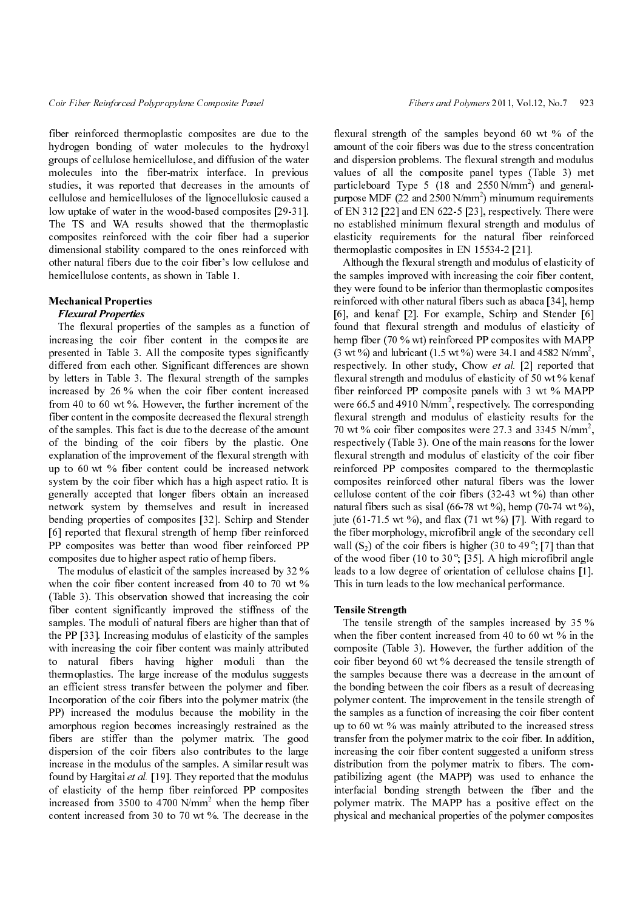fiber reinforced thermoplastic composites are due to the hydrogen bonding of water molecules to the hydroxyl groups of cellulose hemicellulose, and diffusion of the water molecules into the fiber-matrix interface. In previous studies, it was reported that decreases in the amounts of cellulose and hemicelluloses of the lignocellulosic caused a low uptake of water in the wood-based composites [29-31]. The TS and WA results showed that the thermoplastic composites reinforced with the coir fiber had a superior dimensional stability compared to the ones reinforced with other natural fibers due to the coir fiber's low cellulose and hemicellulose contents, as shown in Table 1.

# Mechanical Properties

**Flexural Properties**<br>The flexural properties of the samples as a function of increasing the coir fiber content in the composite are presented in Table 3. All the composite types significantly differed from each other. Significant differences are shown by letters in Table 3. The flexural strength of the samples increased by 26 % when the coir fiber content increased from 40 to 60 wt %. However, the further increment of the fiber content in the composite decreased the flexural strength of the samples. This fact is due to the decrease of the amount of the binding of the coir fibers by the plastic. One explanation of the improvement of the flexural strength with up to 60 wt % fiber content could be increased network system by the coir fiber which has a high aspect ratio. It is generally accepted that longer fibers obtain an increased network system by themselves and result in increased bending properties of composites [32]. Schirp and Stender [6] reported that flexural strength of hemp fiber reinforced PP composites was better than wood fiber reinforced PP composites due to higher aspect ratio of hemp fibers.

The modulus of elasticit of the samples increased by 32 % when the coir fiber content increased from 40 to 70 wt % (Table 3). This observation showed that increasing the coir fiber content significantly improved the stiffness of the samples. The moduli of natural fibers are higher than that of the PP [33]. Increasing modulus of elasticity of the samples with increasing the coir fiber content was mainly attributed to natural fibers having higher moduli than the thermoplastics. The large increase of the modulus suggests an efficient stress transfer between the polymer and fiber. Incorporation of the coir fibers into the polymer matrix (the PP) increased the modulus because the mobility in the amorphous region becomes increasingly restrained as the fibers are stiffer than the polymer matrix. The good dispersion of the coir fibers also contributes to the large increase in the modulus of the samples. A similar result was found by Hargitai et al. [19]. They reported that the modulus of elasticity of the hemp fiber reinforced PP composites increased from 3500 to  $4700 \text{ N/mm}^2$  when the hemp fiber content increased from 30 to 70 wt %. The decrease in the

flexural strength of the samples beyond 60 wt % of the amount of the coir fibers was due to the stress concentration and dispersion problems. The flexural strength and modulus values of all the composite panel types (Table 3) met particleboard Type 5 (18 and  $2550 \text{ N/mm}^2$ ) and generalpurpose MDF  $(22 \text{ and } 2500 \text{ N/mm}^2)$  minumum requirements of EN 312 [22] and EN 622-5 [23], respectively. There were no established minimum flexural strength and modulus of elasticity requirements for the natural fiber reinforced thermoplastic composites in EN 15534-2 [21].

Fiber Reinforced Polypropylons Composite Polypropylons Control Reinforced Polypropyles (The Euristic Composite Revolution of the South Big Reinforced Polypropyles and the Composite Repubblic Research Polymers and differen Although the flexural strength and modulus of elasticity of the samples improved with increasing the coir fiber content, they were found to be inferior than thermoplastic composites reinforced with other natural fibers such as abaca [34], hemp [6], and kenaf [2]. For example, Schirp and Stender [6] found that flexural strength and modulus of elasticity of hemp fiber (70 % wt) reinforced PP composites with MAPP  $(3 \text{ wt } %%)$  and lubricant  $(1.5 \text{ wt } %%)$  were 34.1 and 4582 N/mm<sup>2</sup>, respectively. In other study, Chow et al. [2] reported that flexural strength and modulus of elasticity of 50 wt % kenaf fiber reinforced PP composite panels with 3 wt % MAPP were 66.5 and 4910  $N/mm^2$ , respectively. The corresponding flexural strength and modulus of elasticity results for the 70 wt % coir fiber composites were 27.3 and 3345  $N/mm^2$ , respectively (Table 3). One of the main reasons for the lower flexural strength and modulus of elasticity of the coir fiber reinforced PP composites compared to the thermoplastic composites reinforced other natural fibers was the lower cellulose content of the coir fibers (32-43 wt %) than other natural fibers such as sisal (66-78 wt %), hemp (70-74 wt %), jute (61-71.5 wt %), and flax (71 wt %) [7]. With regard to the fiber morphology, microfibril angle of the secondary cell wall  $(S_2)$  of the coir fibers is higher  $(30 \text{ to } 49^\circ; [7]$  than that<br>of the wood fiber  $(10 \text{ to } 20^\circ; 535]$ . A bigh mine fibril angle of the wood fiber (10 to 30 $\degree$ ; [35]. A high microfibril angle leads to a low degree of orientation of cellulose chains [1]. This in turn leads to the low mechanical performance.

#### Tensile Strength

The tensile strength of the samples increased by 35 % when the fiber content increased from 40 to 60 wt % in the composite (Table 3). However, the further addition of the coir fiber beyond 60 wt % decreased the tensile strength of the samples because there was a decrease in the amount of the bonding between the coir fibers as a result of decreasing polymer content. The improvement in the tensile strength of the samples as a function of increasing the coir fiber content up to 60 wt % was mainly attributed to the increased stress transfer from the polymer matrix to the coir fiber. In addition, increasing the coir fiber content suggested a uniform stress distribution from the polymer matrix to fibers. The compatibilizing agent (the MAPP) was used to enhance the interfacial bonding strength between the fiber and the polymer matrix. The MAPP has a positive effect on the physical and mechanical properties of the polymer composites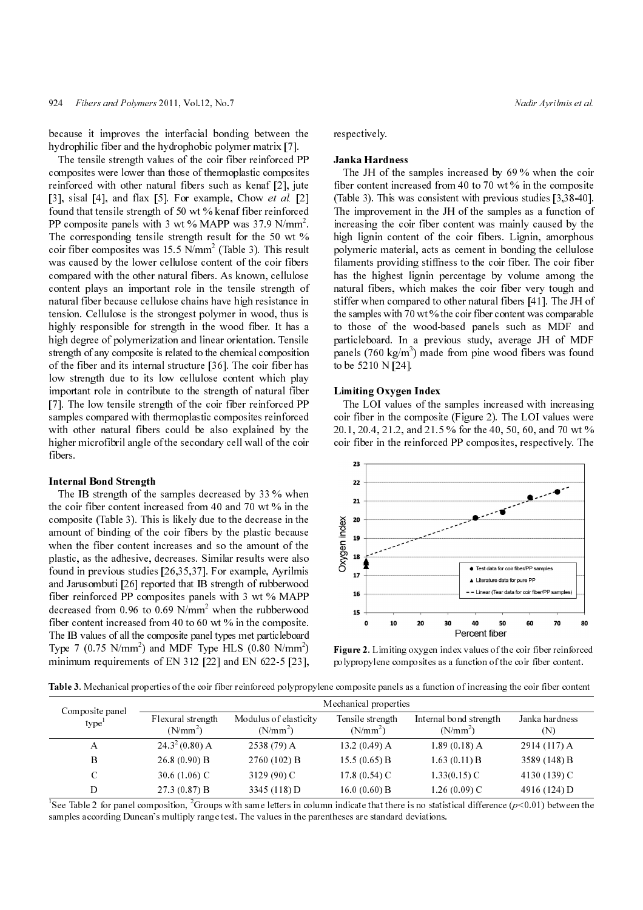because it improves the interfacial bonding between the hydrophilic fiber and the hydrophobic polymer matrix [7].

924 Fibers and Polymers 2011, Vol.12, Na.7<br>
Nearly December and Polymers 2011, Vol.12, Na.7<br>
(byde)philic fiber and the bydespheids produce matrix)?<br>
The terminology of the confidence of the confidence of the confidence o The tensile strength values of the coir fiber reinforced PP composites were lower than those of thermoplastic composites reinforced with other natural fibers such as kenaf [2], jute [3], sisal [4], and flax [5]. For example, Chow et al. [2] found that tensile strength of 50 wt % kenaf fiber reinforced PP composite panels with 3 wt % MAPP was 37.9  $N/mm^2$ . The corresponding tensile strength result for the 50 wt % coir fiber composites was  $15.5 \text{ N/mm}^2$  (Table 3). This result was caused by the lower cellulose content of the coir fibers compared with the other natural fibers. As known, cellulose content plays an important role in the tensile strength of natural fiber because cellulose chains have high resistance in tension. Cellulose is the strongest polymer in wood, thus is highly responsible for strength in the wood fiber. It has a high degree of polymerization and linear orientation. Tensile strength of any composite is related to the chemical composition of the fiber and its internal structure [36]. The coir fiber has low strength due to its low cellulose content which play important role in contribute to the strength of natural fiber [7]. The low tensile strength of the coir fiber reinforced PP samples compared with thermoplastic composites reinforced with other natural fibers could be also explained by the higher microfibril angle of the secondary cell wall of the coir fibers.

#### Internal Bond Strength

The IB strength of the samples decreased by 33 % when the coir fiber content increased from 40 and 70 wt % in the composite (Table 3). This is likely due to the decrease in the amount of binding of the coir fibers by the plastic because when the fiber content increases and so the amount of the plastic, as the adhesive, decreases. Similar results were also found in previous studies [26,35,37]. For example, Ayrilmis and Jarusombuti [26] reported that IB strength of rubberwood fiber reinforced PP composites panels with 3 wt % MAPP decreased from  $0.96$  to  $0.69$  N/mm<sup>2</sup> when the rubberwood fiber content increased from 40 to 60 wt % in the composite. The IB values of all the composite panel types met particleboard Type 7 (0.75 N/mm<sup>2</sup>) and MDF Type HLS (0.80 N/mm<sup>2</sup>) minimum requirements of EN 312 [22] and EN 622-5 [23],

### respectively.

# Janka Hardness

The JH of the samples increased by 69 % when the coir fiber content increased from 40 to 70 wt % in the composite (Table 3). This was consistent with previous studies [3,38-40]. The improvement in the JH of the samples as a function of increasing the coir fiber content was mainly caused by the high lignin content of the coir fibers. Lignin, amorphous polymeric material, acts as cement in bonding the cellulose filaments providing stiffness to the coir fiber. The coir fiber has the highest lignin percentage by volume among the natural fibers, which makes the coir fiber very tough and stiffer when compared to other natural fibers [41]. The JH of the samples with 70 wt % the coir fiber content was comparable to those of the wood-based panels such as MDF and particleboard. In a previous study, average JH of MDF panels (760 kg/m<sup>3</sup>) made from pine wood fibers was found to be 5210 N [24].

#### Limiting Oxygen Index

The LOI values of the samples increased with increasing coir fiber in the composite (Figure 2). The LOI values were 20.1, 20.4, 21.2, and 21.5 % for the 40, 50, 60, and 70 wt % coir fiber in the reinforced PP composites, respectively. The



Figure 2. Limiting oxygen index values of the coir fiber reinforced polypropylene composites as a function of the coir fiber content.

Table 3. Mechanical properties of the coir fiber reinforced polypropylene composite panels as a function of increasing the coir fiber content

| Composite panel   | Mechanical properties           |                                     |                                |                                      |                       |  |  |
|-------------------|---------------------------------|-------------------------------------|--------------------------------|--------------------------------------|-----------------------|--|--|
| type <sup>1</sup> | Flexural strength<br>$(N/mm^2)$ | Modulus of elasticity<br>$(N/mm^2)$ | Tensile strength<br>$(N/mm^2)$ | Internal bond strength<br>$(N/mm^2)$ | Janka hardness<br>(N) |  |  |
| A                 | $24.3^2(0.80)$ A                | $2538(79)$ A                        | 13.2(0.49) A                   | $1.89(0.18)$ A                       | 2914 (117) A          |  |  |
| B                 | $26.8(0.90)$ B                  | 2760(102) B                         | 15.5(0.65) B                   | 1.63(0.11) B                         | 3589(148) B           |  |  |
| C                 | 30.6 $(1.06)$ C                 | 3129 (90) C                         | $17.8(0.54)$ C                 | $1.33(0.15)$ C                       | 4130 (139) C          |  |  |
| D                 | 27.3(0.87) B                    | 3345 (118) D                        | $16.0(0.60)$ B                 | 1.26 (0.09) C                        | 4916 (124) D          |  |  |

<sup>1</sup>See Table 2 for panel composition,  $2^2$ Groups with same letters in column indicate that there is no statistical difference  $(p<0.01)$  between the range test. The values in the parentheses are standard deviations. samples according Duncan's multiply range test. The values in the parentheses are standard deviations.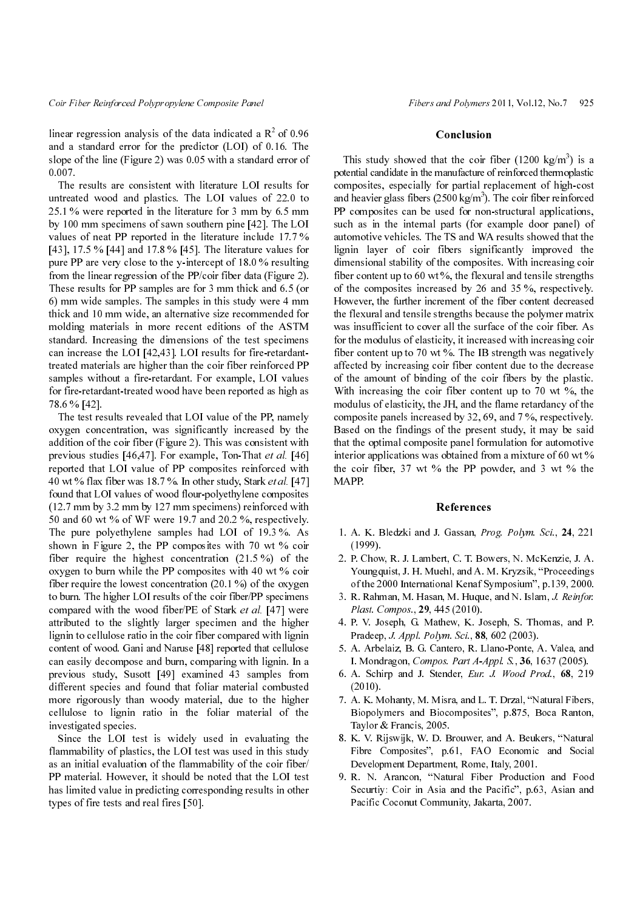linear regression analysis of the data indicated a  $\mathbb{R}^2$  of 0.96 and a standard error for the predictor (LOI) of 0.16. The slope of the line (Figure 2) was 0.05 with a standard error of 0.007.

The results are consistent with literature LOI results for untreated wood and plastics. The LOI values of 22.0 to 25.1 % were reported in the literature for 3 mm by 6.5 mm by 100 mm specimens of sawn southern pine [42]. The LOI values of neat PP reported in the literature include 17.7 % [43], 17.5 % [44] and 17.8 % [45]. The literature values for pure PP are very close to the y-intercept of 18.0 % resulting from the linear regression of the PP/coir fiber data (Figure 2). These results for PP samples are for 3 mm thick and 6.5 (or 6) mm wide samples. The samples in this study were 4 mm thick and 10 mm wide, an alternative size recommended for molding materials in more recent editions of the ASTM standard. Increasing the dimensions of the test specimens can increase the LOI [42,43]. LOI results for fire-retardanttreated materials are higher than the coir fiber reinforced PP samples without a fire-retardant. For example, LOI values for fire-retardant-treated wood have been reported as high as 78.6 % [42].

The test results revealed that LOI value of the PP, namely oxygen concentration, was significantly increased by the addition of the coir fiber (Figure 2). This was consistent with previous studies [46,47]. For example, Ton-That et al. [46] reported that LOI value of PP composites reinforced with 40 wt % flax fiber was 18.7 %. In other study, Stark et al. [47] found that LOI values of wood flour-polyethylene composites (12.7 mm by 3.2 mm by 127 mm specimens) reinforced with 50 and 60 wt % of WF were 19.7 and 20.2 %, respectively. The pure polyethylene samples had LOI of 19.3 %. As shown in Figure 2, the PP composites with 70 wt % coir fiber require the highest concentration (21.5 %) of the oxygen to burn while the PP composites with 40 wt % coir fiber require the lowest concentration  $(20.1\%)$  of the oxygen to burn. The higher LOI results of the coir fiber/PP specimens compared with the wood fiber/PE of Stark et al. [47] were attributed to the slightly larger specimen and the higher lignin to cellulose ratio in the coir fiber compared with lignin content of wood. Gani and Naruse [48] reported that cellulose can easily decompose and burn, comparing with lignin. In a previous study, Susott [49] examined 43 samples from different species and found that foliar material combusted more rigorously than woody material, due to the higher cellulose to lignin ratio in the foliar material of the investigated species.

Since the LOI test is widely used in evaluating the flammability of plastics, the LOI test was used in this study as an initial evaluation of the flammability of the coir fiber/ PP material. However, it should be noted that the LOI test has limited value in predicting corresponding results in other types of fire tests and real fires [50].

### Conclusion

Fiber and fully contribute the dual indicated a Ref. of the fiber and fully and Fiber Conclusion and policies of the dual indicated a Rev. Conclusion and the transfer appear of the fibers and policies of the dual indicate This study showed that the coir fiber  $(1200 \text{ kg/m}^3)$  is a potential candidate in the manufacture of reinforced thermoplastic composites, especially for partial replacement of high-cost and heavier glass fibers  $(2500 \text{ kg/m}^3)$ . The coir fiber reinforced PP composites can be used for non-structural applications, such as in the internal parts (for example door panel) of automotive vehicles. The TS and WA results showed that the lignin layer of coir fibers significantly improved the dimensional stability of the composites. With increasing coir fiber content up to 60 wt  $\%$ , the flexural and tensile strengths of the composites increased by 26 and 35 %, respectively. However, the further increment of the fiber content decreased the flexural and tensile strengths because the polymer matrix was insufficient to cover all the surface of the coir fiber. As for the modulus of elasticity, it increased with increasing coir fiber content up to 70 wt %. The IB strength was negatively affected by increasing coir fiber content due to the decrease of the amount of binding of the coir fibers by the plastic. With increasing the coir fiber content up to 70 wt %, the modulus of elasticity, the JH, and the flame retardancy of the composite panels increased by 32, 69, and 7 %, respectively. Based on the findings of the present study, it may be said that the optimal composite panel formulation for automotive interior applications was obtained from a mixture of 60 wt  $\%$ the coir fiber, 37 wt % the PP powder, and 3 wt % the MAPP.

### References

- 1. A. K. Bledzki and J. Gassan, Prog. Polym. Sci., 24, 221 (1999).
- 2. P. Chow, R. J. Lambert, C. T. Bowers, N. McKenzie, J. A. Youngquist, J. H. Muehl, and A. M. Kryzsik, "Proceedings of the 2000 International Kenaf Symposium", p.139, 2000.
- 3. R. Rahman, M. Hasan, M. Huque, and N. Islam, J. Reinfor. Plast. Compos., 29, 445 (2010).
- 4. P. V. Joseph, G. Mathew, K. Joseph, S. Thomas, and P. Pradeep, J. Appl. Polym. Sci., 88, 602 (2003).
- 5. A. Arbelaiz, B. G. Cantero, R. Llano-Ponte, A. Valea, and I. Mondragon, Compos. Part A-Appl. S., 36, 1637 (2005).
- 6. A. Schirp and J. Stender, Eur. J. Wood Prod., 68, 219 (2010).
- 7. A. K. Mohanty, M. Misra, and L. T. Drzal, "Natural Fibers, Biopolymers and Biocomposites", p.875, Boca Ranton, Taylor & Francis, 2005.
- 8. K. V. Rijswijk, W. D. Brouwer, and A. Beukers, "Natural Fibre Composites", p.61, FAO Economic and Social Development Department, Rome, Italy, 2001.
- 9. R. N. Arancon, "Natural Fiber Production and Food Securtiy: Coir in Asia and the Pacific", p.63, Asian and Pacific Coconut Community, Jakarta, 2007.